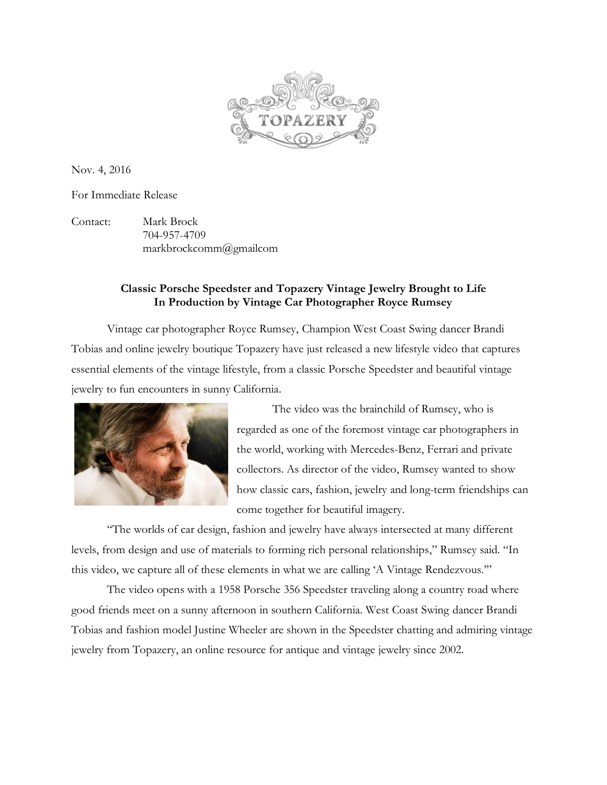

Nov. 4, 2016

For Immediate Release

Contact: Mark Brock 704-957-4709 markbrockcomm@gmailcom

## **Classic Porsche Speedster and Topazery Vintage Jewelry Brought to Life In Production by Vintage Car Photographer Royce Rumsey**

Vintage car photographer Royce Rumsey, Champion West Coast Swing dancer Brandi Tobias and online jewelry boutique Topazery have just released a new lifestyle video that captures essential elements of the vintage lifestyle, from a classic Porsche Speedster and beautiful vintage jewelry to fun encounters in sunny California.



The video was the brainchild of Rumsey, who is regarded as one of the foremost vintage car photographers in the world, working with Mercedes-Benz, Ferrari and private collectors. As director of the video, Rumsey wanted to show how classic cars, fashion, jewelry and long-term friendships can come together for beautiful imagery.

"The worlds of car design, fashion and jewelry have always intersected at many different levels, from design and use of materials to forming rich personal relationships," Rumsey said. "In this video, we capture all of these elements in what we are calling 'A Vintage Rendezvous.'"

The video opens with a 1958 Porsche 356 Speedster traveling along a country road where good friends meet on a sunny afternoon in southern California. West Coast Swing dancer Brandi Tobias and fashion model Justine Wheeler are shown in the Speedster chatting and admiring vintage jewelry from Topazery, an online resource for antique and vintage jewelry since 2002.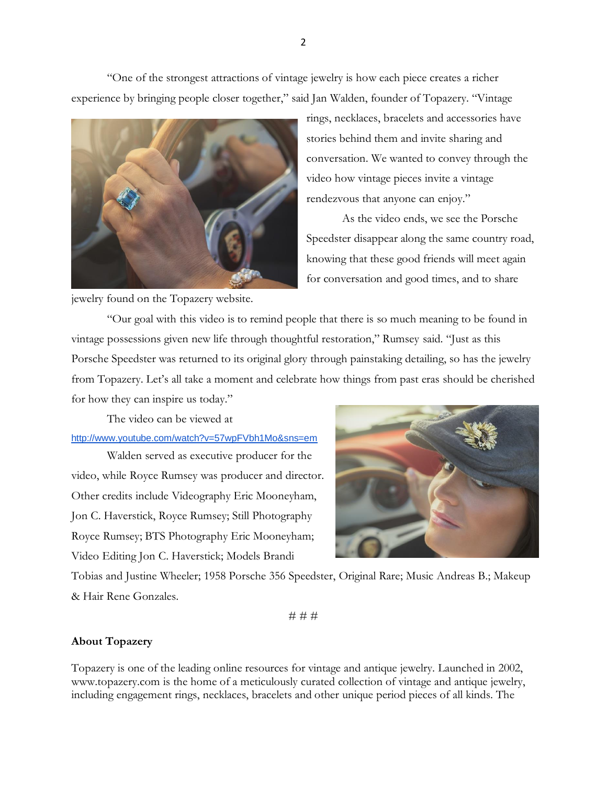"One of the strongest attractions of vintage jewelry is how each piece creates a richer experience by bringing people closer together," said Jan Walden, founder of Topazery. "Vintage



rings, necklaces, bracelets and accessories have stories behind them and invite sharing and conversation. We wanted to convey through the video how vintage pieces invite a vintage rendezvous that anyone can enjoy."

As the video ends, we see the Porsche Speedster disappear along the same country road, knowing that these good friends will meet again for conversation and good times, and to share

jewelry found on the Topazery website.

"Our goal with this video is to remind people that there is so much meaning to be found in vintage possessions given new life through thoughtful restoration," Rumsey said. "Just as this Porsche Speedster was returned to its original glory through painstaking detailing, so has the jewelry from Topazery. Let's all take a moment and celebrate how things from past eras should be cherished for how they can inspire us today."

The video can be viewed at

<http://www.youtube.com/watch?v=57wpFVbh1Mo&sns=em>

Walden served as executive producer for the video, while Royce Rumsey was producer and director. Other credits include Videography Eric Mooneyham, Jon C. Haverstick, Royce Rumsey; Still Photography Royce Rumsey; BTS Photography Eric Mooneyham; Video Editing Jon C. Haverstick; Models Brandi



Tobias and Justine Wheeler; 1958 Porsche 356 Speedster, Original Rare; Music Andreas B.; Makeup & Hair Rene Gonzales.

# # #

## **About Topazery**

Topazery is one of the leading online resources for vintage and antique jewelry. Launched in 2002, [www.topazery.com](http://www.topazery.com/) is the home of a meticulously curated collection of vintage and antique jewelry, including engagement rings, necklaces, bracelets and other unique period pieces of all kinds. The

2